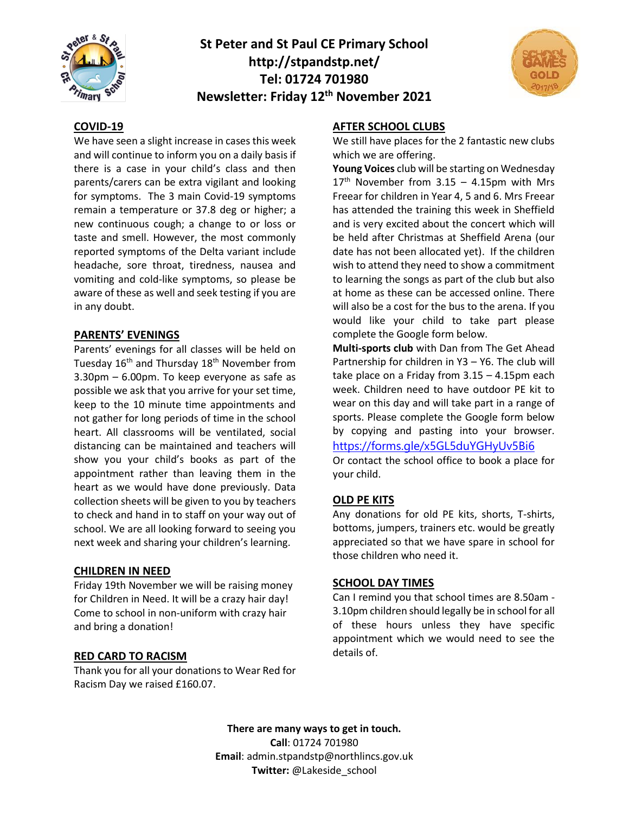

# **St Peter and St Paul CE Primary School http://stpandstp.net/ Tel: 01724 701980 Newsletter: Friday 12th November 2021**



#### **COVID-19**

We have seen a slight increase in cases this week and will continue to inform you on a daily basis if there is a case in your child's class and then parents/carers can be extra vigilant and looking for symptoms. The 3 main Covid-19 symptoms remain a temperature or 37.8 deg or higher; a new continuous cough; a change to or loss or taste and smell. However, the most commonly reported symptoms of the Delta variant include headache, sore throat, tiredness, nausea and vomiting and cold-like symptoms, so please be aware of these as well and seek testing if you are in any doubt.

#### **PARENTS' EVENINGS**

Parents' evenings for all classes will be held on Tuesday 16<sup>th</sup> and Thursday 18<sup>th</sup> November from 3.30pm – 6.00pm. To keep everyone as safe as possible we ask that you arrive for your set time, keep to the 10 minute time appointments and not gather for long periods of time in the school heart. All classrooms will be ventilated, social distancing can be maintained and teachers will show you your child's books as part of the appointment rather than leaving them in the heart as we would have done previously. Data collection sheets will be given to you by teachers to check and hand in to staff on your way out of school. We are all looking forward to seeing you next week and sharing your children's learning.

#### **CHILDREN IN NEED**

Friday 19th November we will be raising money for Children in Need. It will be a crazy hair day! Come to school in non-uniform with crazy hair and bring a donation!

## **RED CARD TO RACISM**

Thank you for all your donations to Wear Red for Racism Day we raised £160.07.

## **AFTER SCHOOL CLUBS**

We still have places for the 2 fantastic new clubs which we are offering.

**Young Voices** club will be starting on Wednesday  $17<sup>th</sup>$  November from 3.15 – 4.15pm with Mrs Freear for children in Year 4, 5 and 6. Mrs Freear has attended the training this week in Sheffield and is very excited about the concert which will be held after Christmas at Sheffield Arena (our date has not been allocated yet). If the children wish to attend they need to show a commitment to learning the songs as part of the club but also at home as these can be accessed online. There will also be a cost for the bus to the arena. If you would like your child to take part please complete the Google form below.

**Multi-sports club** with Dan from The Get Ahead Partnership for children in Y3 – Y6. The club will take place on a Friday from 3.15 – 4.15pm each week. Children need to have outdoor PE kit to wear on this day and will take part in a range of sports. Please complete the Google form below by copying and pasting into your browser. <https://forms.gle/x5GL5duYGHyUv5Bi6>

Or contact the school office to book a place for your child.

# **OLD PE KITS**

Any donations for old PE kits, shorts, T-shirts, bottoms, jumpers, trainers etc. would be greatly appreciated so that we have spare in school for those children who need it.

## **SCHOOL DAY TIMES**

Can I remind you that school times are 8.50am - 3.10pm children should legally be in school for all of these hours unless they have specific appointment which we would need to see the details of.

**There are many ways to get in touch. Call**: 01724 701980 **Email**: admin.stpandstp@northlincs.gov.uk **Twitter:** @Lakeside\_school